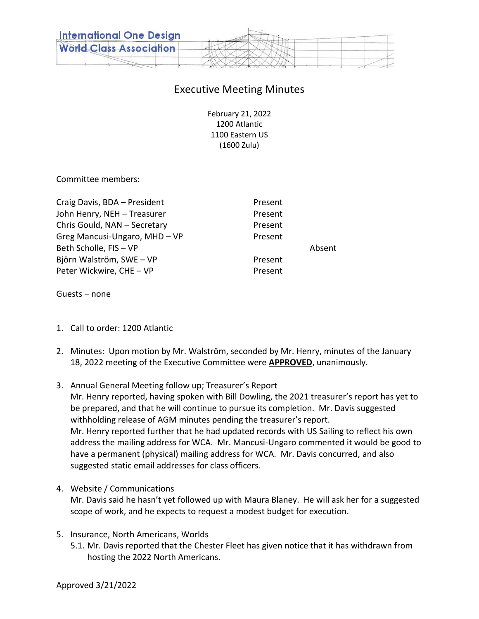

## Executive Meeting Minutes

February 21, 2022 1200 Atlantic 1100 Eastern US (1600 Zulu)

Committee members:

| Craig Davis, BDA - President  | Present |        |
|-------------------------------|---------|--------|
| John Henry, NEH - Treasurer   | Present |        |
| Chris Gould, NAN - Secretary  | Present |        |
| Greg Mancusi-Ungaro, MHD - VP | Present |        |
| Beth Scholle, FIS - VP        |         | Absent |
| Björn Walström, SWE - VP      | Present |        |
| Peter Wickwire, CHE - VP      | Present |        |
|                               |         |        |

Guests – none

- 1. Call to order: 1200 Atlantic
- 2. Minutes: Upon motion by Mr. Walström, seconded by Mr. Henry, minutes of the January 18, 2022 meeting of the Executive Committee were **APPROVED**, unanimously.
- 3. Annual General Meeting follow up; Treasurer's Report Mr. Henry reported, having spoken with Bill Dowling, the 2021 treasurer's report has yet to be prepared, and that he will continue to pursue its completion. Mr. Davis suggested withholding release of AGM minutes pending the treasurer's report. Mr. Henry reported further that he had updated records with US Sailing to reflect his own address the mailing address for WCA. Mr. Mancusi-Ungaro commented it would be good to have a permanent (physical) mailing address for WCA. Mr. Davis concurred, and also suggested static email addresses for class officers.
- 4. Website / Communications

Mr. Davis said he hasn't yet followed up with Maura Blaney. He will ask her for a suggested scope of work, and he expects to request a modest budget for execution.

- 5. Insurance, North Americans, Worlds
	- 5.1. Mr. Davis reported that the Chester Fleet has given notice that it has withdrawn from hosting the 2022 North Americans.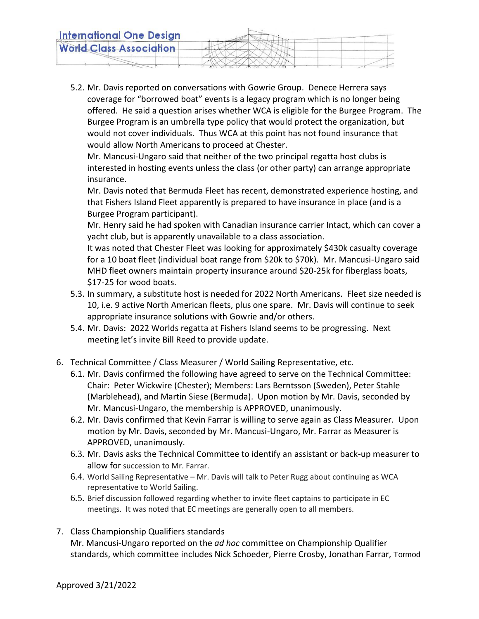5.2. Mr. Davis reported on conversations with Gowrie Group. Denece Herrera says coverage for "borrowed boat" events is a legacy program which is no longer being offered. He said a question arises whether WCA is eligible for the Burgee Program. The Burgee Program is an umbrella type policy that would protect the organization, but would not cover individuals. Thus WCA at this point has not found insurance that would allow North Americans to proceed at Chester.

Mr. Mancusi-Ungaro said that neither of the two principal regatta host clubs is interested in hosting events unless the class (or other party) can arrange appropriate insurance.

Mr. Davis noted that Bermuda Fleet has recent, demonstrated experience hosting, and that Fishers Island Fleet apparently is prepared to have insurance in place (and is a Burgee Program participant).

Mr. Henry said he had spoken with Canadian insurance carrier Intact, which can cover a yacht club, but is apparently unavailable to a class association.

It was noted that Chester Fleet was looking for approximately \$430k casualty coverage for a 10 boat fleet (individual boat range from \$20k to \$70k). Mr. Mancusi-Ungaro said MHD fleet owners maintain property insurance around \$20-25k for fiberglass boats, \$17-25 for wood boats.

- 5.3. In summary, a substitute host is needed for 2022 North Americans. Fleet size needed is 10, i.e. 9 active North American fleets, plus one spare. Mr. Davis will continue to seek appropriate insurance solutions with Gowrie and/or others.
- 5.4. Mr. Davis: 2022 Worlds regatta at Fishers Island seems to be progressing. Next meeting let's invite Bill Reed to provide update.
- 6. Technical Committee / Class Measurer / World Sailing Representative, etc.
	- 6.1. Mr. Davis confirmed the following have agreed to serve on the Technical Committee: Chair: Peter Wickwire (Chester); Members: Lars Berntsson (Sweden), Peter Stahle (Marblehead), and Martin Siese (Bermuda). Upon motion by Mr. Davis, seconded by Mr. Mancusi-Ungaro, the membership is APPROVED, unanimously.
	- 6.2. Mr. Davis confirmed that Kevin Farrar is willing to serve again as Class Measurer. Upon motion by Mr. Davis, seconded by Mr. Mancusi-Ungaro, Mr. Farrar as Measurer is APPROVED, unanimously.
	- 6.3. Mr. Davis asks the Technical Committee to identify an assistant or back-up measurer to allow for succession to Mr. Farrar.
	- 6.4. World Sailing Representative Mr. Davis will talk to Peter Rugg about continuing as WCA representative to World Sailing.
	- 6.5. Brief discussion followed regarding whether to invite fleet captains to participate in EC meetings. It was noted that EC meetings are generally open to all members.
- 7. Class Championship Qualifiers standards

Mr. Mancusi-Ungaro reported on the *ad hoc* committee on Championship Qualifier standards, which committee includes Nick Schoeder, Pierre Crosby, Jonathan Farrar, Tormod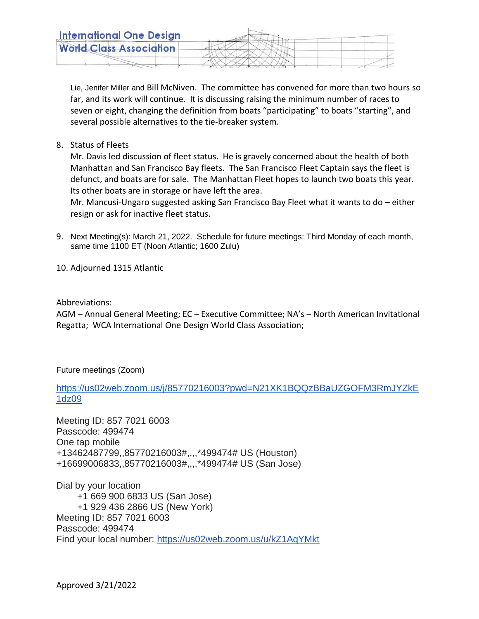Lie, Jenifer Miller and Bill McNiven. The committee has convened for more than two hours so far, and its work will continue. It is discussing raising the minimum number of races to seven or eight, changing the definition from boats "participating" to boats "starting", and several possible alternatives to the tie-breaker system.

8. Status of Fleets

Mr. Davis led discussion of fleet status. He is gravely concerned about the health of both Manhattan and San Francisco Bay fleets. The San Francisco Fleet Captain says the fleet is defunct, and boats are for sale. The Manhattan Fleet hopes to launch two boats this year. Its other boats are in storage or have left the area.

Mr. Mancusi-Ungaro suggested asking San Francisco Bay Fleet what it wants to do – either resign or ask for inactive fleet status.

- 9. Next Meeting(s): March 21, 2022. Schedule for future meetings: Third Monday of each month, same time 1100 ET (Noon Atlantic; 1600 Zulu)
- 10. Adjourned 1315 Atlantic
- Abbreviations:

AGM – Annual General Meeting; EC – Executive Committee; NA's – North American Invitational Regatta; WCA International One Design World Class Association;

Future meetings (Zoom)

[https://us02web.zoom.us/j/85770216003?pwd=N21XK1BQQzBBaUZGOFM3RmJYZkE](https://us02web.zoom.us/j/85770216003?pwd=N21XK1BQQzBBaUZGOFM3RmJYZkE1dz09) [1dz09](https://us02web.zoom.us/j/85770216003?pwd=N21XK1BQQzBBaUZGOFM3RmJYZkE1dz09)

Meeting ID: 857 7021 6003 Passcode: 499474 One tap mobile +13462487799,,85770216003#,,,,\*499474# US (Houston) +16699006833,,85770216003#,,,,\*499474# US (San Jose)

Dial by your location +1 669 900 6833 US (San Jose) +1 929 436 2866 US (New York) Meeting ID: 857 7021 6003 Passcode: 499474 Find your local number: <https://us02web.zoom.us/u/kZ1AqYMkt>